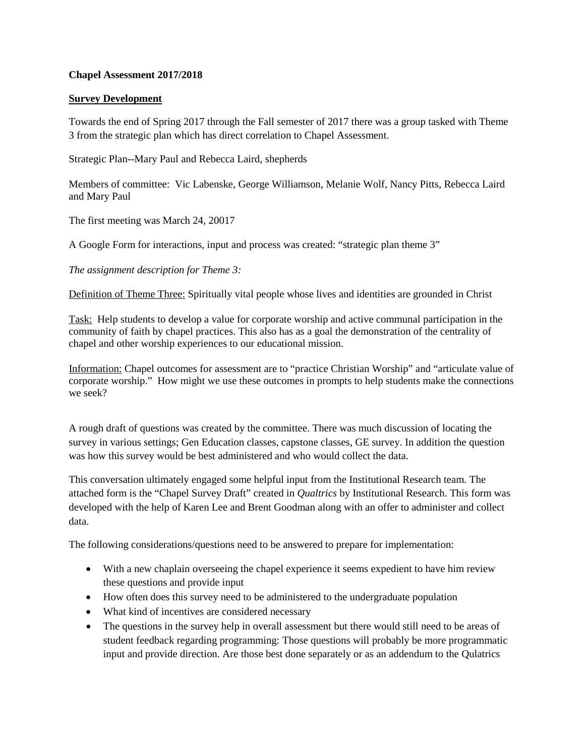### **Chapel Assessment 2017/2018**

#### **Survey Development**

Towards the end of Spring 2017 through the Fall semester of 2017 there was a group tasked with Theme 3 from the strategic plan which has direct correlation to Chapel Assessment.

Strategic Plan--Mary Paul and Rebecca Laird, shepherds

Members of committee: Vic Labenske, George Williamson, Melanie Wolf, Nancy Pitts, Rebecca Laird and Mary Paul

The first meeting was March 24, 20017

A Google Form for interactions, input and process was created: "strategic plan theme 3"

*The assignment description for Theme 3:*

Definition of Theme Three: Spiritually vital people whose lives and identities are grounded in Christ

Task: Help students to develop a value for corporate worship and active communal participation in the community of faith by chapel practices. This also has as a goal the demonstration of the centrality of chapel and other worship experiences to our educational mission.

Information: Chapel outcomes for assessment are to "practice Christian Worship" and "articulate value of corporate worship." How might we use these outcomes in prompts to help students make the connections we seek?

A rough draft of questions was created by the committee. There was much discussion of locating the survey in various settings; Gen Education classes, capstone classes, GE survey. In addition the question was how this survey would be best administered and who would collect the data.

This conversation ultimately engaged some helpful input from the Institutional Research team. The attached form is the "Chapel Survey Draft" created in *Qualtrics* by Institutional Research. This form was developed with the help of Karen Lee and Brent Goodman along with an offer to administer and collect data.

The following considerations/questions need to be answered to prepare for implementation:

- With a new chaplain overseeing the chapel experience it seems expedient to have him review these questions and provide input
- How often does this survey need to be administered to the undergraduate population
- What kind of incentives are considered necessary
- The questions in the survey help in overall assessment but there would still need to be areas of student feedback regarding programming: Those questions will probably be more programmatic input and provide direction. Are those best done separately or as an addendum to the Qulatrics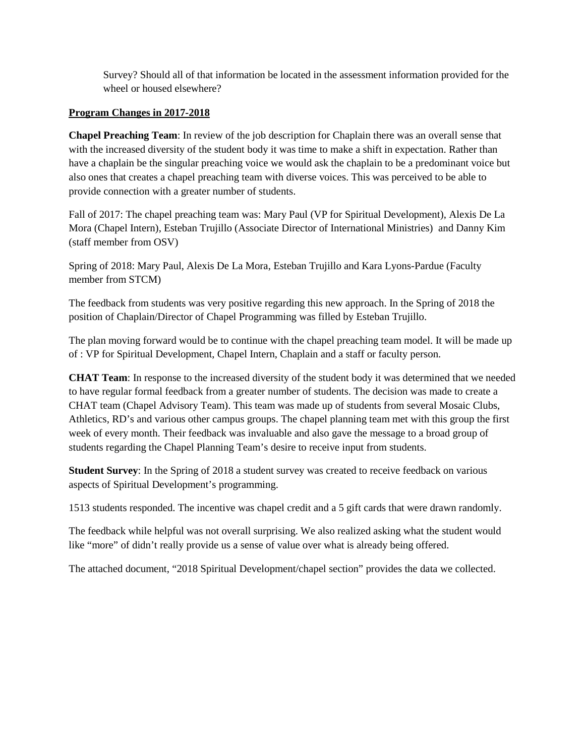Survey? Should all of that information be located in the assessment information provided for the wheel or housed elsewhere?

### **Program Changes in 2017-2018**

**Chapel Preaching Team**: In review of the job description for Chaplain there was an overall sense that with the increased diversity of the student body it was time to make a shift in expectation. Rather than have a chaplain be the singular preaching voice we would ask the chaplain to be a predominant voice but also ones that creates a chapel preaching team with diverse voices. This was perceived to be able to provide connection with a greater number of students.

Fall of 2017: The chapel preaching team was: Mary Paul (VP for Spiritual Development), Alexis De La Mora (Chapel Intern), Esteban Trujillo (Associate Director of International Ministries) and Danny Kim (staff member from OSV)

Spring of 2018: Mary Paul, Alexis De La Mora, Esteban Trujillo and Kara Lyons-Pardue (Faculty member from STCM)

The feedback from students was very positive regarding this new approach. In the Spring of 2018 the position of Chaplain/Director of Chapel Programming was filled by Esteban Trujillo.

The plan moving forward would be to continue with the chapel preaching team model. It will be made up of : VP for Spiritual Development, Chapel Intern, Chaplain and a staff or faculty person.

**CHAT Team**: In response to the increased diversity of the student body it was determined that we needed to have regular formal feedback from a greater number of students. The decision was made to create a CHAT team (Chapel Advisory Team). This team was made up of students from several Mosaic Clubs, Athletics, RD's and various other campus groups. The chapel planning team met with this group the first week of every month. Their feedback was invaluable and also gave the message to a broad group of students regarding the Chapel Planning Team's desire to receive input from students.

**Student Survey**: In the Spring of 2018 a student survey was created to receive feedback on various aspects of Spiritual Development's programming.

1513 students responded. The incentive was chapel credit and a 5 gift cards that were drawn randomly.

The feedback while helpful was not overall surprising. We also realized asking what the student would like "more" of didn't really provide us a sense of value over what is already being offered.

The attached document, "2018 Spiritual Development/chapel section" provides the data we collected.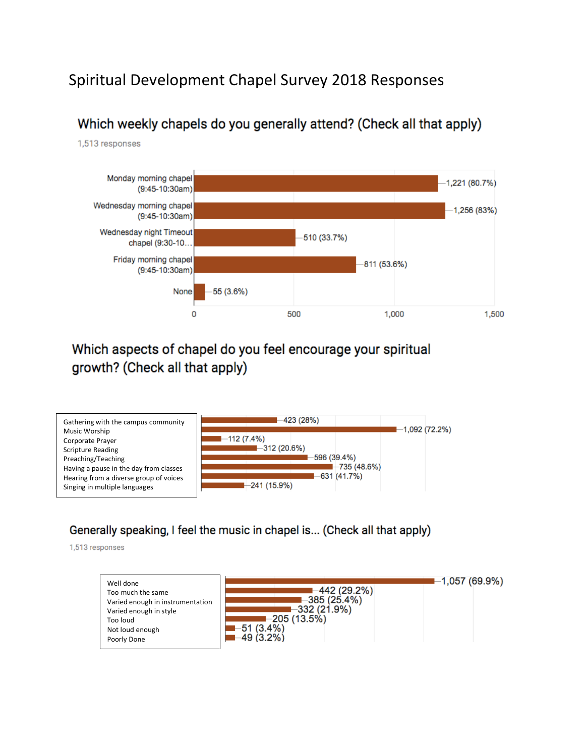# Spiritual Development Chapel Survey 2018 Responses

## Which weekly chapels do you generally attend? (Check all that apply)

1,513 responses



## Which aspects of chapel do you feel encourage your spiritual growth? (Check all that apply)



### Generally speaking, I feel the music in chapel is... (Check all that apply)

1,513 responses

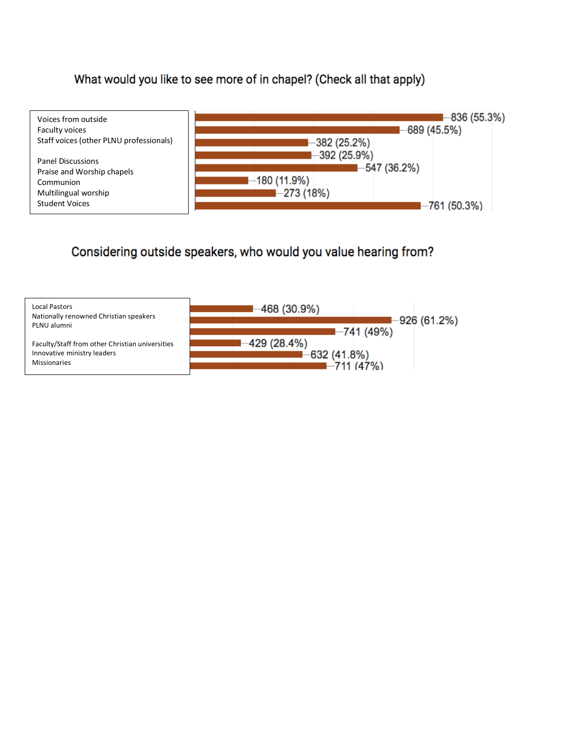### What would you like to see more of in chapel? (Check all that apply)



### Considering outside speakers, who would you value hearing from?

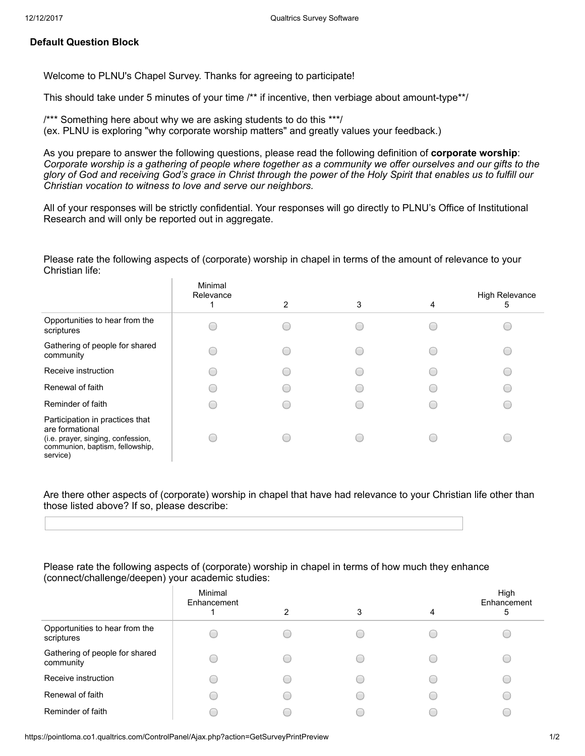### Default Question Block

Welcome to PLNU's Chapel Survey. Thanks for agreeing to participate!

This should take under 5 minutes of your time /\*\* if incentive, then verbiage about amount-type\*\*/

/\*\*\* Something here about why we are asking students to do this \*\*\*/ (ex. PLNU is exploring "why corporate worship matters" and greatly values your feedback.)

As you prepare to answer the following questions, please read the following definition of corporate worship: Corporate worship is a gathering of people where together as a community we offer ourselves and our gifts to the glory of God and receiving God's grace in Christ through the power of the Holy Spirit that enables us to fulfill our Christian vocation to witness to love and serve our neighbors.

All of your responses will be strictly confidential. Your responses will go directly to PLNU's Office of Institutional Research and will only be reported out in aggregate.

Please rate the following aspects of (corporate) worship in chapel in terms of the amount of relevance to your Christian life:

|                                                                                                                                         | Minimal<br>Relevance | 2 | 3 | 4 | <b>High Relevance</b><br>b |
|-----------------------------------------------------------------------------------------------------------------------------------------|----------------------|---|---|---|----------------------------|
| Opportunities to hear from the<br>scriptures                                                                                            |                      |   |   |   |                            |
| Gathering of people for shared<br>community                                                                                             |                      |   |   |   |                            |
| Receive instruction                                                                                                                     |                      |   |   |   |                            |
| Renewal of faith                                                                                                                        |                      |   |   |   |                            |
| Reminder of faith                                                                                                                       |                      |   |   |   |                            |
| Participation in practices that<br>are formational<br>(i.e. prayer, singing, confession,<br>communion, baptism, fellowship,<br>service) |                      |   |   |   |                            |

Are there other aspects of (corporate) worship in chapel that have had relevance to your Christian life other than those listed above? If so, please describe:

#### Please rate the following aspects of (corporate) worship in chapel in terms of how much they enhance (connect/challenge/deepen) your academic studies:

|                                              | Minimal<br>Enhancement | 2 | 3 | 4 | High<br>Enhancement<br>5 |
|----------------------------------------------|------------------------|---|---|---|--------------------------|
| Opportunities to hear from the<br>scriptures |                        |   |   |   |                          |
| Gathering of people for shared<br>community  |                        |   |   |   |                          |
| Receive instruction                          |                        | ٠ |   |   |                          |
| Renewal of faith                             |                        |   |   |   |                          |
| Reminder of faith                            |                        |   |   |   |                          |